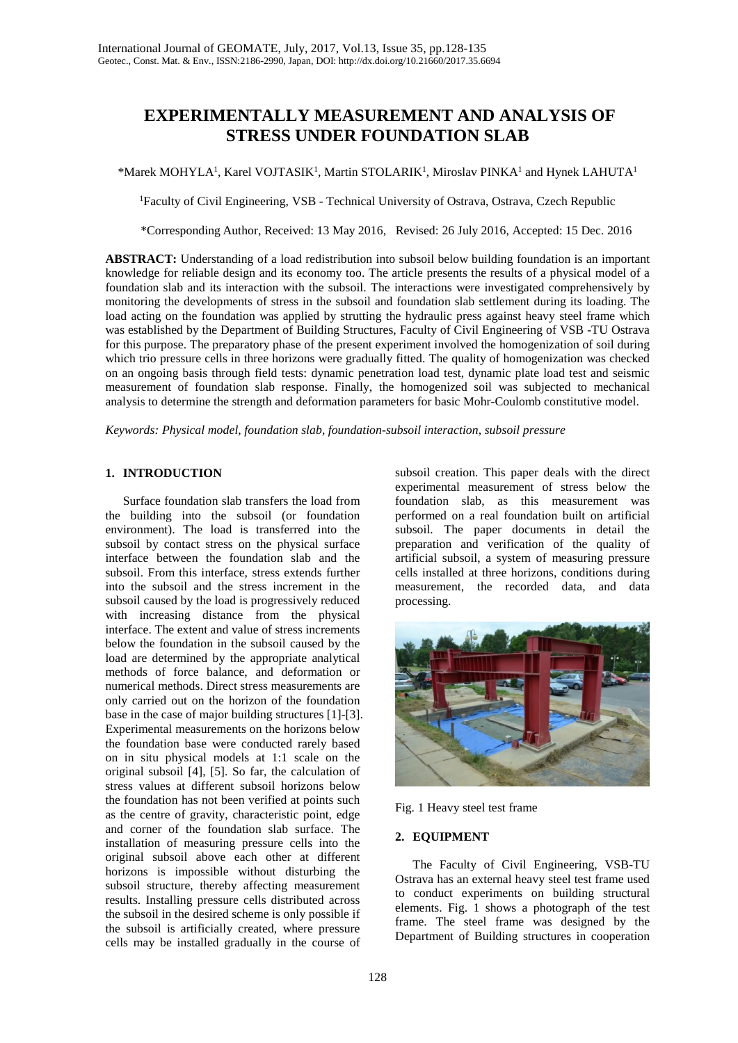# **EXPERIMENTALLY MEASUREMENT AND ANALYSIS OF STRESS UNDER FOUNDATION SLAB**

 $*$ Marek MOHYLA<sup>1</sup>, Karel VOJTASIK<sup>1</sup>, Martin STOLARIK<sup>1</sup>, Miroslav PINKA<sup>1</sup> and Hynek LAHUTA<sup>1</sup>

<sup>1</sup>Faculty of Civil Engineering, VSB - Technical University of Ostrava, Ostrava, Czech Republic

\*Corresponding Author, Received: 13 May 2016, Revised: 26 July 2016, Accepted: 15 Dec. 2016

**ABSTRACT:** Understanding of a load redistribution into subsoil below building foundation is an important knowledge for reliable design and its economy too. The article presents the results of a physical model of a foundation slab and its interaction with the subsoil. The interactions were investigated comprehensively by monitoring the developments of stress in the subsoil and foundation slab settlement during its loading. The load acting on the foundation was applied by strutting the hydraulic press against heavy steel frame which was established by the Department of Building Structures, Faculty of Civil Engineering of VSB -TU Ostrava for this purpose. The preparatory phase of the present experiment involved the homogenization of soil during which trio pressure cells in three horizons were gradually fitted. The quality of homogenization was checked on an ongoing basis through field tests: dynamic penetration load test, dynamic plate load test and seismic measurement of foundation slab response. Finally, the homogenized soil was subjected to mechanical analysis to determine the strength and deformation parameters for basic Mohr-Coulomb constitutive model.

*Keywords: Physical model, foundation slab, foundation-subsoil interaction, subsoil pressure*

# **1. INTRODUCTION**

Surface foundation slab transfers the load from the building into the subsoil (or foundation environment). The load is transferred into the subsoil by contact stress on the physical surface interface between the foundation slab and the subsoil. From this interface, stress extends further into the subsoil and the stress increment in the subsoil caused by the load is progressively reduced with increasing distance from the physical interface. The extent and value of stress increments below the foundation in the subsoil caused by the load are determined by the appropriate analytical methods of force balance, and deformation or numerical methods. Direct stress measurements are only carried out on the horizon of the foundation base in the case of major building structures [1]-[3]. Experimental measurements on the horizons below the foundation base were conducted rarely based on in situ physical models at 1:1 scale on the original subsoil [4], [5]. So far, the calculation of stress values at different subsoil horizons below the foundation has not been verified at points such as the centre of gravity, characteristic point, edge and corner of the foundation slab surface. The installation of measuring pressure cells into the original subsoil above each other at different horizons is impossible without disturbing the subsoil structure, thereby affecting measurement results. Installing pressure cells distributed across the subsoil in the desired scheme is only possible if the subsoil is artificially created, where pressure cells may be installed gradually in the course of

subsoil creation. This paper deals with the direct experimental measurement of stress below the foundation slab, as this measurement was performed on a real foundation built on artificial subsoil. The paper documents in detail the preparation and verification of the quality of artificial subsoil, a system of measuring pressure cells installed at three horizons, conditions during measurement, the recorded data, and data processing.



Fig. 1 Heavy steel test frame

# **2. EQUIPMENT**

The Faculty of Civil Engineering, VSB-TU Ostrava has an external heavy steel test frame used to conduct experiments on building structural elements. Fig. 1 shows a photograph of the test frame. The steel frame was designed by the Department of Building structures in cooperation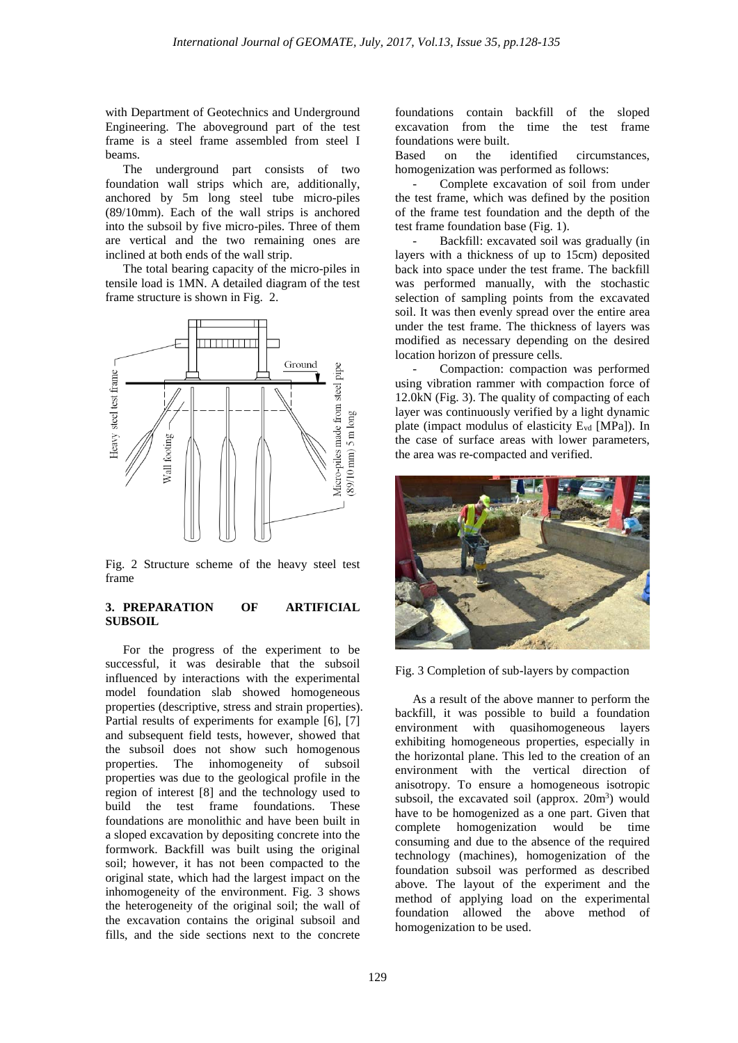with Department of Geotechnics and Underground Engineering. The aboveground part of the test frame is a steel frame assembled from steel I beams.

The underground part consists of two foundation wall strips which are, additionally, anchored by 5m long steel tube micro-piles (89/10mm). Each of the wall strips is anchored into the subsoil by five micro-piles. Three of them are vertical and the two remaining ones are inclined at both ends of the wall strip.

The total bearing capacity of the micro-piles in tensile load is 1MN. A detailed diagram of the test frame structure is shown in Fig. 2.



Fig. 2 Structure scheme of the heavy steel test frame

# **3. PREPARATION OF ARTIFICIAL SUBSOIL**

For the progress of the experiment to be successful, it was desirable that the subsoil influenced by interactions with the experimental model foundation slab showed homogeneous properties (descriptive, stress and strain properties). Partial results of experiments for example [6], [7] and subsequent field tests, however, showed that the subsoil does not show such homogenous properties. The inhomogeneity of subsoil properties was due to the geological profile in the region of interest [8] and the technology used to build the test frame foundations. These foundations are monolithic and have been built in a sloped excavation by depositing concrete into the formwork. Backfill was built using the original soil; however, it has not been compacted to the original state, which had the largest impact on the inhomogeneity of the environment. Fig. 3 shows the heterogeneity of the original soil; the wall of the excavation contains the original subsoil and fills, and the side sections next to the concrete

foundations contain backfill of the sloped excavation from the time the test frame foundations were built.

Based on the identified circumstances, homogenization was performed as follows:

Complete excavation of soil from under the test frame, which was defined by the position of the frame test foundation and the depth of the test frame foundation base (Fig. 1).

Backfill: excavated soil was gradually (in layers with a thickness of up to 15cm) deposited back into space under the test frame. The backfill was performed manually, with the stochastic selection of sampling points from the excavated soil. It was then evenly spread over the entire area under the test frame. The thickness of layers was modified as necessary depending on the desired location horizon of pressure cells.

Compaction: compaction was performed using vibration rammer with compaction force of 12.0kN (Fig. 3). The quality of compacting of each layer was continuously verified by a light dynamic plate (impact modulus of elasticity E<sub>vd</sub> [MPa]). In the case of surface areas with lower parameters, the area was re-compacted and verified.



Fig. 3 Completion of sub-layers by compaction

As a result of the above manner to perform the backfill, it was possible to build a foundation environment with quasihomogeneous layers exhibiting homogeneous properties, especially in the horizontal plane. This led to the creation of an environment with the vertical direction of anisotropy. To ensure a homogeneous isotropic subsoil, the excavated soil (approx. 20m<sup>3</sup>) would have to be homogenized as a one part. Given that complete homogenization would be time consuming and due to the absence of the required technology (machines), homogenization of the foundation subsoil was performed as described above. The layout of the experiment and the method of applying load on the experimental foundation allowed the above method of homogenization to be used.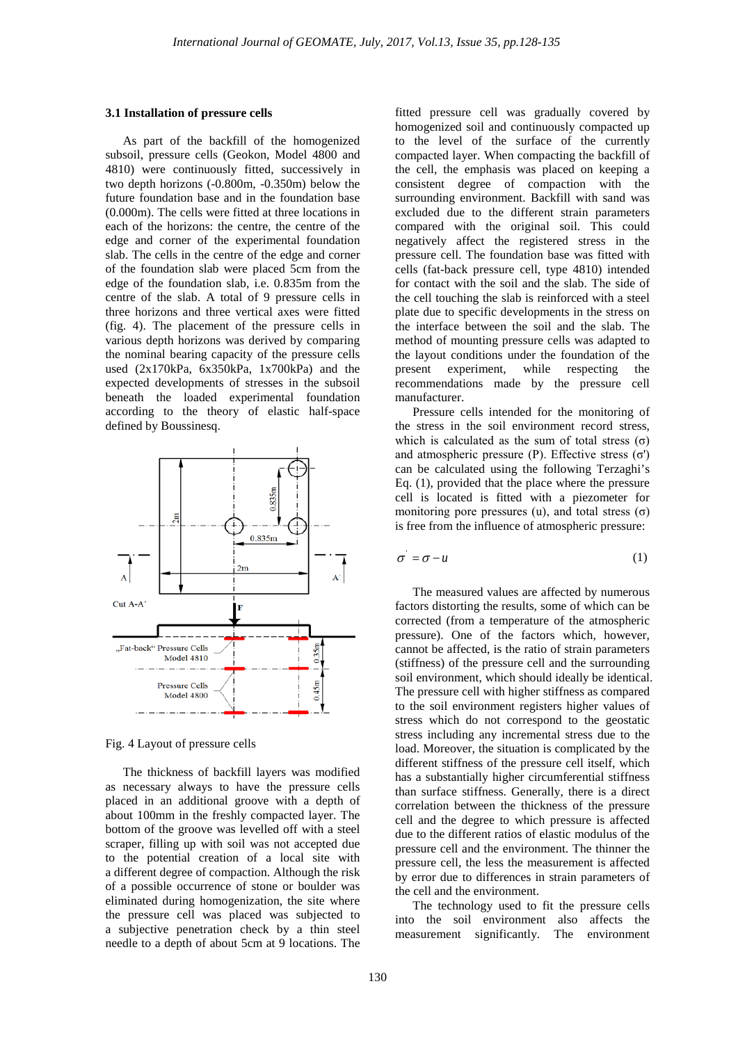#### **3.1 Installation of pressure cells**

As part of the backfill of the homogenized subsoil, pressure cells (Geokon, Model 4800 and 4810) were continuously fitted, successively in two depth horizons (-0.800m, -0.350m) below the future foundation base and in the foundation base (0.000m). The cells were fitted at three locations in each of the horizons: the centre, the centre of the edge and corner of the experimental foundation slab. The cells in the centre of the edge and corner of the foundation slab were placed 5cm from the edge of the foundation slab, i.e. 0.835m from the centre of the slab. A total of 9 pressure cells in three horizons and three vertical axes were fitted (fig. 4). The placement of the pressure cells in various depth horizons was derived by comparing the nominal bearing capacity of the pressure cells used (2x170kPa, 6x350kPa, 1x700kPa) and the expected developments of stresses in the subsoil beneath the loaded experimental foundation according to the theory of elastic half-space defined by Boussinesq.



Fig. 4 Layout of pressure cells

The thickness of backfill layers was modified as necessary always to have the pressure cells placed in an additional groove with a depth of about 100mm in the freshly compacted layer. The bottom of the groove was levelled off with a steel scraper, filling up with soil was not accepted due to the potential creation of a local site with a different degree of compaction. Although the risk of a possible occurrence of stone or boulder was eliminated during homogenization, the site where the pressure cell was placed was subjected to a subjective penetration check by a thin steel needle to a depth of about 5cm at 9 locations. The

fitted pressure cell was gradually covered by homogenized soil and continuously compacted up to the level of the surface of the currently compacted layer. When compacting the backfill of the cell, the emphasis was placed on keeping a consistent degree of compaction with the surrounding environment. Backfill with sand was excluded due to the different strain parameters compared with the original soil. This could negatively affect the registered stress in the pressure cell. The foundation base was fitted with cells (fat-back pressure cell, type 4810) intended for contact with the soil and the slab. The side of the cell touching the slab is reinforced with a steel plate due to specific developments in the stress on the interface between the soil and the slab. The method of mounting pressure cells was adapted to the layout conditions under the foundation of the present experiment, while respecting the recommendations made by the pressure cell manufacturer.

Pressure cells intended for the monitoring of the stress in the soil environment record stress, which is calculated as the sum of total stress  $(\sigma)$ and atmospheric pressure (P). Effective stress  $(σ')$ can be calculated using the following Terzaghi's Eq. (1), provided that the place where the pressure cell is located is fitted with a piezometer for monitoring pore pressures (u), and total stress  $(\sigma)$ is free from the influence of atmospheric pressure:

$$
\sigma' = \sigma - u \tag{1}
$$

The measured values are affected by numerous factors distorting the results, some of which can be corrected (from a temperature of the atmospheric pressure). One of the factors which, however, cannot be affected, is the ratio of strain parameters (stiffness) of the pressure cell and the surrounding soil environment, which should ideally be identical. The pressure cell with higher stiffness as compared to the soil environment registers higher values of stress which do not correspond to the geostatic stress including any incremental stress due to the load. Moreover, the situation is complicated by the different stiffness of the pressure cell itself, which has a substantially higher circumferential stiffness than surface stiffness. Generally, there is a direct correlation between the thickness of the pressure cell and the degree to which pressure is affected due to the different ratios of elastic modulus of the pressure cell and the environment. The thinner the pressure cell, the less the measurement is affected by error due to differences in strain parameters of the cell and the environment.

The technology used to fit the pressure cells into the soil environment also affects the measurement significantly. The environment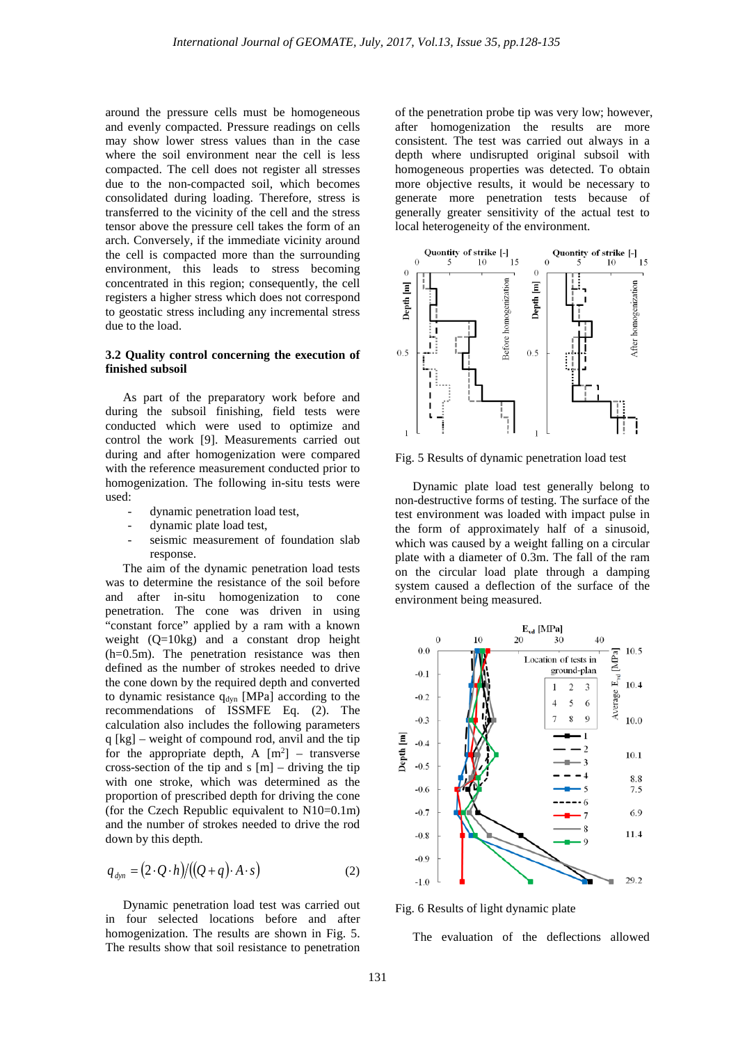around the pressure cells must be homogeneous and evenly compacted. Pressure readings on cells may show lower stress values than in the case where the soil environment near the cell is less compacted. The cell does not register all stresses due to the non-compacted soil, which becomes consolidated during loading. Therefore, stress is transferred to the vicinity of the cell and the stress tensor above the pressure cell takes the form of an arch. Conversely, if the immediate vicinity around the cell is compacted more than the surrounding environment, this leads to stress becoming concentrated in this region; consequently, the cell registers a higher stress which does not correspond to geostatic stress including any incremental stress due to the load.

## **3.2 Quality control concerning the execution of finished subsoil**

As part of the preparatory work before and during the subsoil finishing, field tests were conducted which were used to optimize and control the work [9]. Measurements carried out during and after homogenization were compared with the reference measurement conducted prior to homogenization. The following in-situ tests were used:

- dynamic penetration load test,
- dynamic plate load test,
- seismic measurement of foundation slab response.

The aim of the dynamic penetration load tests was to determine the resistance of the soil before and after in-situ homogenization to cone penetration. The cone was driven in using "constant force" applied by a ram with a known weight (Q=10kg) and a constant drop height (h=0.5m). The penetration resistance was then defined as the number of strokes needed to drive the cone down by the required depth and converted to dynamic resistance q<sub>dyn</sub> [MPa] according to the recommendations of ISSMFE Eq. (2). The calculation also includes the following parameters q [kg] – weight of compound rod, anvil and the tip for the appropriate depth, A  $[m^2]$  – transverse cross-section of the tip and s  $[m]$  – driving the tip with one stroke, which was determined as the proportion of prescribed depth for driving the cone (for the Czech Republic equivalent to N10=0.1m) and the number of strokes needed to drive the rod down by this depth.

$$
q_{\text{dyn}} = (2 \cdot Q \cdot h) / ((Q + q) \cdot A \cdot s) \tag{2}
$$

Dynamic penetration load test was carried out in four selected locations before and after homogenization. The results are shown in Fig. 5. The results show that soil resistance to penetration

of the penetration probe tip was very low; however, after homogenization the results are more consistent. The test was carried out always in a depth where undisrupted original subsoil with homogeneous properties was detected. To obtain more objective results, it would be necessary to generate more penetration tests because of generally greater sensitivity of the actual test to local heterogeneity of the environment.



Fig. 5 Results of dynamic penetration load test

Dynamic plate load test generally belong to non-destructive forms of testing. The surface of the test environment was loaded with impact pulse in the form of approximately half of a sinusoid, which was caused by a weight falling on a circular plate with a diameter of 0.3m. The fall of the ram on the circular load plate through a damping system caused a deflection of the surface of the environment being measured.



Fig. 6 Results of light dynamic plate

The evaluation of the deflections allowed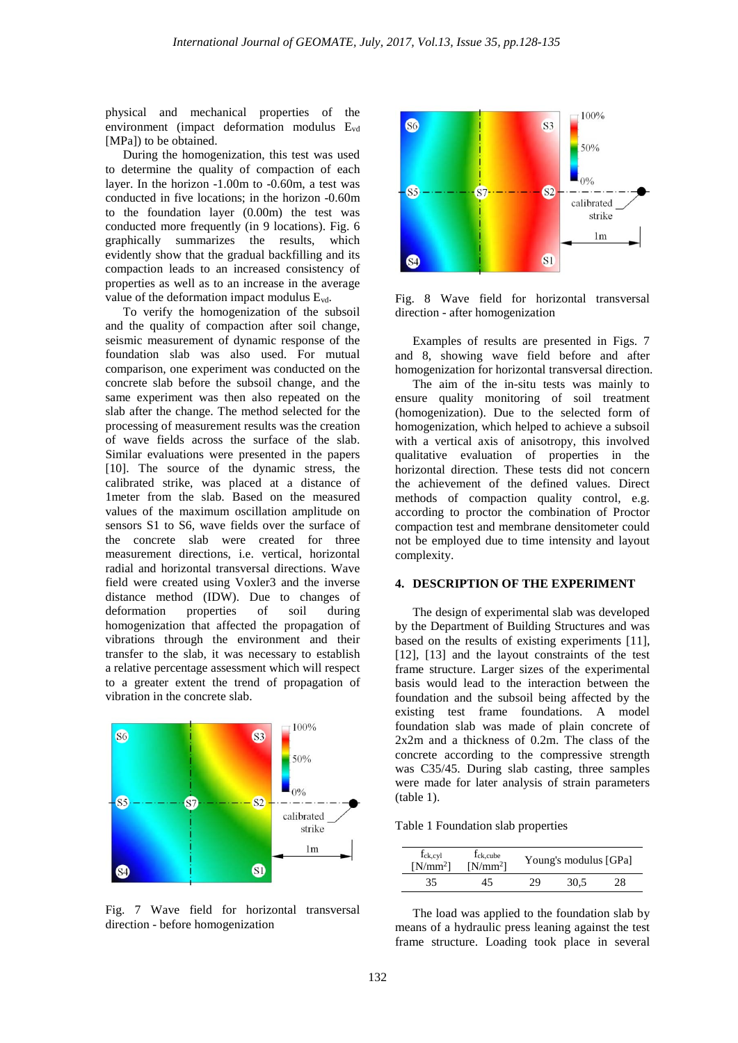physical and mechanical properties of the environment (impact deformation modulus Evd [MPa]) to be obtained.

During the homogenization, this test was used to determine the quality of compaction of each layer. In the horizon -1.00m to -0.60m, a test was conducted in five locations; in the horizon -0.60m to the foundation layer (0.00m) the test was conducted more frequently (in 9 locations). Fig. 6 graphically summarizes the results, which evidently show that the gradual backfilling and its compaction leads to an increased consistency of properties as well as to an increase in the average value of the deformation impact modulus Evd.

To verify the homogenization of the subsoil and the quality of compaction after soil change, seismic measurement of dynamic response of the foundation slab was also used. For mutual comparison, one experiment was conducted on the concrete slab before the subsoil change, and the same experiment was then also repeated on the slab after the change. The method selected for the processing of measurement results was the creation of wave fields across the surface of the slab. Similar evaluations were presented in the papers [10]. The source of the dynamic stress, the calibrated strike, was placed at a distance of 1meter from the slab. Based on the measured values of the maximum oscillation amplitude on sensors S1 to S6, wave fields over the surface of the concrete slab were created for three measurement directions, i.e. vertical, horizontal radial and horizontal transversal directions. Wave field were created using Voxler3 and the inverse distance method (IDW). Due to changes of deformation properties of soil during homogenization that affected the propagation of vibrations through the environment and their transfer to the slab, it was necessary to establish a relative percentage assessment which will respect to a greater extent the trend of propagation of vibration in the concrete slab.



Fig. 7 Wave field for horizontal transversal direction - before homogenization



Fig. 8 Wave field for horizontal transversal direction - after homogenization

Examples of results are presented in Figs. 7 and 8, showing wave field before and after homogenization for horizontal transversal direction.

The aim of the in-situ tests was mainly to ensure quality monitoring of soil treatment (homogenization). Due to the selected form of homogenization, which helped to achieve a subsoil with a vertical axis of anisotropy, this involved qualitative evaluation of properties in the horizontal direction. These tests did not concern the achievement of the defined values. Direct methods of compaction quality control, e.g. according to proctor the combination of Proctor compaction test and membrane densitometer could not be employed due to time intensity and layout complexity.

#### **4. DESCRIPTION OF THE EXPERIMENT**

The design of experimental slab was developed by the Department of Building Structures and was based on the results of existing experiments [11], [12], [13] and the layout constraints of the test frame structure. Larger sizes of the experimental basis would lead to the interaction between the foundation and the subsoil being affected by the existing test frame foundations. A model foundation slab was made of plain concrete of 2x2m and a thickness of 0.2m. The class of the concrete according to the compressive strength was C35/45. During slab casting, three samples were made for later analysis of strain parameters (table 1).

| Table 1 Foundation slab properties |  |  |
|------------------------------------|--|--|
|------------------------------------|--|--|

| f <sub>ck,cyl</sub><br>$[N/mm^2]$ | f <sub>ck.cube</sub><br>$[N/mm^2]$ | Young's modulus [GPa] |      |    |  |
|-----------------------------------|------------------------------------|-----------------------|------|----|--|
| 35                                |                                    | 29                    | 30.5 | 28 |  |

The load was applied to the foundation slab by means of a hydraulic press leaning against the test frame structure. Loading took place in several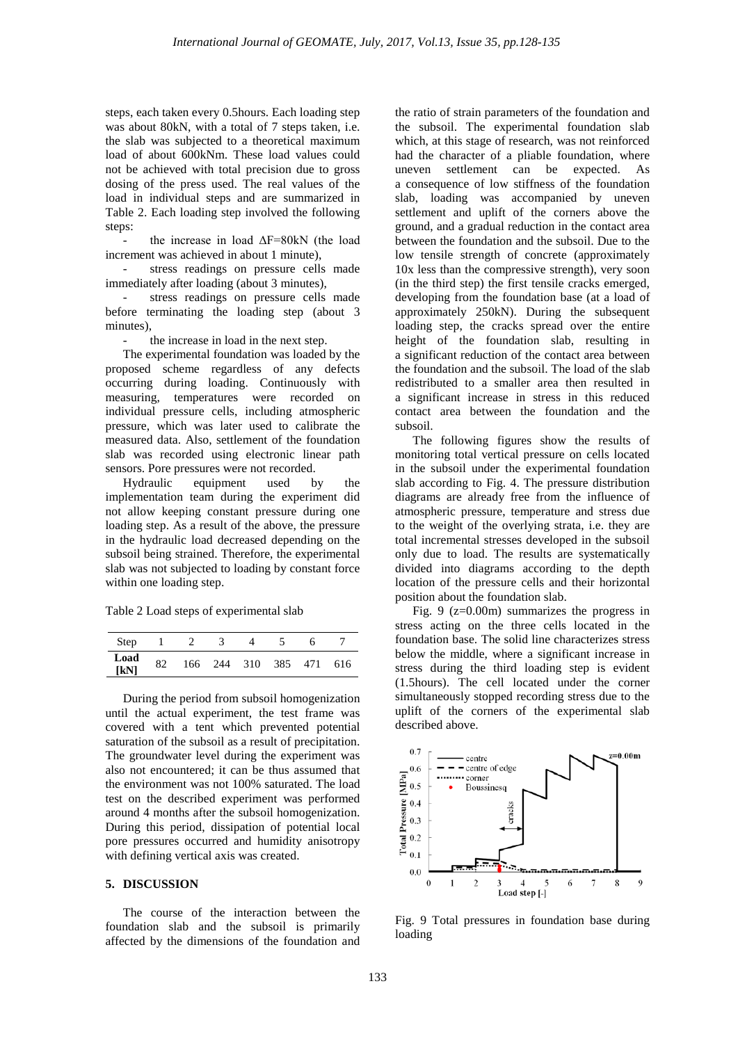steps, each taken every 0.5hours. Each loading step was about 80kN, with a total of 7 steps taken, i.e. the slab was subjected to a theoretical maximum load of about 600kNm. These load values could not be achieved with total precision due to gross dosing of the press used. The real values of the load in individual steps and are summarized in Table 2. Each loading step involved the following steps:

- the increase in load ΔF=80kN (the load increment was achieved in about 1 minute),

stress readings on pressure cells made immediately after loading (about 3 minutes),

- stress readings on pressure cells made before terminating the loading step (about 3 minutes),

the increase in load in the next step.

The experimental foundation was loaded by the proposed scheme regardless of any defects occurring during loading. Continuously with measuring, temperatures were recorded on individual pressure cells, including atmospheric pressure, which was later used to calibrate the measured data. Also, settlement of the foundation slab was recorded using electronic linear path sensors. Pore pressures were not recorded.

Hydraulic equipment used by the implementation team during the experiment did not allow keeping constant pressure during one loading step. As a result of the above, the pressure in the hydraulic load decreased depending on the subsoil being strained. Therefore, the experimental slab was not subjected to loading by constant force within one loading step.

Table 2 Load steps of experimental slab

| Step         |    |  |                     |  |     |
|--------------|----|--|---------------------|--|-----|
| Load<br>[kN] | 82 |  | 166 244 310 385 471 |  | 616 |

During the period from subsoil homogenization until the actual experiment, the test frame was covered with a tent which prevented potential saturation of the subsoil as a result of precipitation. The groundwater level during the experiment was also not encountered; it can be thus assumed that the environment was not 100% saturated. The load test on the described experiment was performed around 4 months after the subsoil homogenization. During this period, dissipation of potential local pore pressures occurred and humidity anisotropy with defining vertical axis was created.

#### **5. DISCUSSION**

The course of the interaction between the foundation slab and the subsoil is primarily affected by the dimensions of the foundation and

the ratio of strain parameters of the foundation and the subsoil. The experimental foundation slab which, at this stage of research, was not reinforced had the character of a pliable foundation, where uneven settlement can be expected. As a consequence of low stiffness of the foundation slab, loading was accompanied by uneven settlement and uplift of the corners above the ground, and a gradual reduction in the contact area between the foundation and the subsoil. Due to the low tensile strength of concrete (approximately 10x less than the compressive strength), very soon (in the third step) the first tensile cracks emerged, developing from the foundation base (at a load of approximately 250kN). During the subsequent loading step, the cracks spread over the entire height of the foundation slab, resulting in a significant reduction of the contact area between the foundation and the subsoil. The load of the slab redistributed to a smaller area then resulted in a significant increase in stress in this reduced contact area between the foundation and the subsoil.

The following figures show the results of monitoring total vertical pressure on cells located in the subsoil under the experimental foundation slab according to Fig. 4. The pressure distribution diagrams are already free from the influence of atmospheric pressure, temperature and stress due to the weight of the overlying strata, i.e. they are total incremental stresses developed in the subsoil only due to load. The results are systematically divided into diagrams according to the depth location of the pressure cells and their horizontal position about the foundation slab.

Fig. 9 (z=0.00m) summarizes the progress in stress acting on the three cells located in the foundation base. The solid line characterizes stress below the middle, where a significant increase in stress during the third loading step is evident (1.5hours). The cell located under the corner simultaneously stopped recording stress due to the uplift of the corners of the experimental slab described above.



Fig. 9 Total pressures in foundation base during loading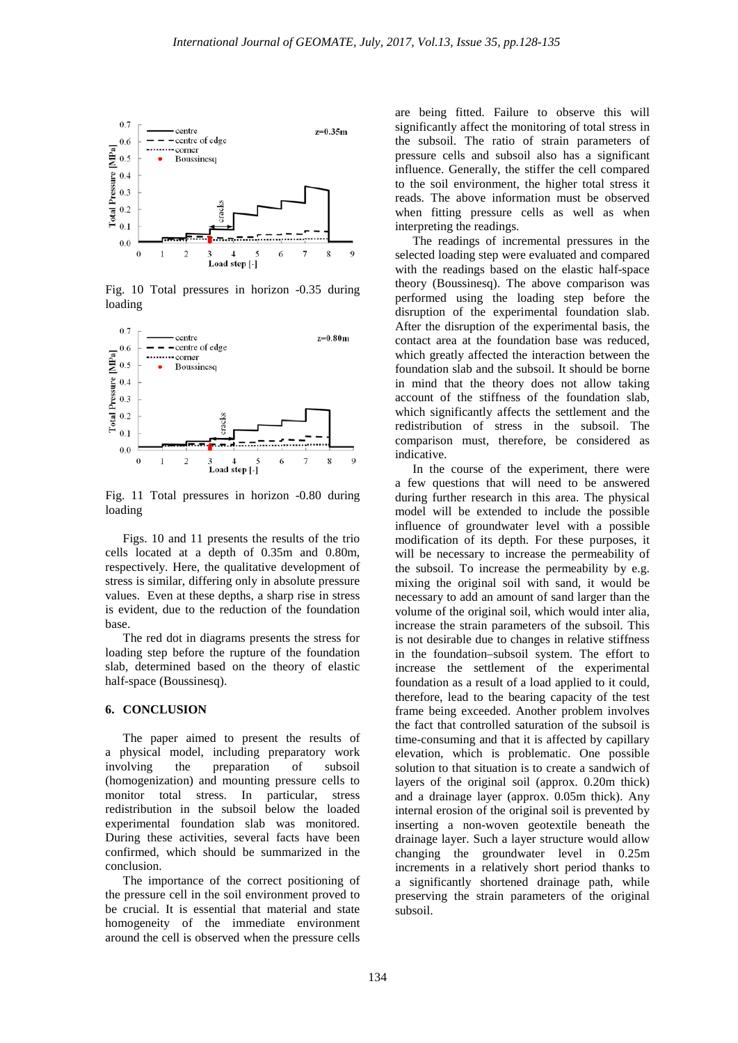

Fig. 10 Total pressures in horizon -0.35 during loading



Fig. 11 Total pressures in horizon -0.80 during loading

Figs. 10 and 11 presents the results of the trio cells located at a depth of 0.35m and 0.80m, respectively. Here, the qualitative development of stress is similar, differing only in absolute pressure values. Even at these depths, a sharp rise in stress is evident, due to the reduction of the foundation base.

The red dot in diagrams presents the stress for loading step before the rupture of the foundation slab, determined based on the theory of elastic half-space (Boussinesq).

## **6. CONCLUSION**

The paper aimed to present the results of a physical model, including preparatory work involving the preparation of subsoil (homogenization) and mounting pressure cells to monitor total stress. In particular, stress redistribution in the subsoil below the loaded experimental foundation slab was monitored. During these activities, several facts have been confirmed, which should be summarized in the conclusion.

The importance of the correct positioning of the pressure cell in the soil environment proved to be crucial. It is essential that material and state homogeneity of the immediate environment around the cell is observed when the pressure cells

are being fitted. Failure to observe this will significantly affect the monitoring of total stress in the subsoil. The ratio of strain parameters of pressure cells and subsoil also has a significant influence. Generally, the stiffer the cell compared to the soil environment, the higher total stress it reads. The above information must be observed when fitting pressure cells as well as when interpreting the readings.

The readings of incremental pressures in the selected loading step were evaluated and compared with the readings based on the elastic half-space theory (Boussinesq). The above comparison was performed using the loading step before the disruption of the experimental foundation slab. After the disruption of the experimental basis, the contact area at the foundation base was reduced, which greatly affected the interaction between the foundation slab and the subsoil. It should be borne in mind that the theory does not allow taking account of the stiffness of the foundation slab, which significantly affects the settlement and the redistribution of stress in the subsoil. The comparison must, therefore, be considered as indicative.

In the course of the experiment, there were a few questions that will need to be answered during further research in this area. The physical model will be extended to include the possible influence of groundwater level with a possible modification of its depth. For these purposes, it will be necessary to increase the permeability of the subsoil. To increase the permeability by e.g. mixing the original soil with sand, it would be necessary to add an amount of sand larger than the volume of the original soil, which would inter alia, increase the strain parameters of the subsoil. This is not desirable due to changes in relative stiffness in the foundation–subsoil system. The effort to increase the settlement of the experimental foundation as a result of a load applied to it could, therefore, lead to the bearing capacity of the test frame being exceeded. Another problem involves the fact that controlled saturation of the subsoil is time-consuming and that it is affected by capillary elevation, which is problematic. One possible solution to that situation is to create a sandwich of layers of the original soil (approx. 0.20m thick) and a drainage layer (approx. 0.05m thick). Any internal erosion of the original soil is prevented by inserting a non-woven geotextile beneath the drainage layer. Such a layer structure would allow changing the groundwater level in 0.25m increments in a relatively short period thanks to a significantly shortened drainage path, while preserving the strain parameters of the original subsoil.